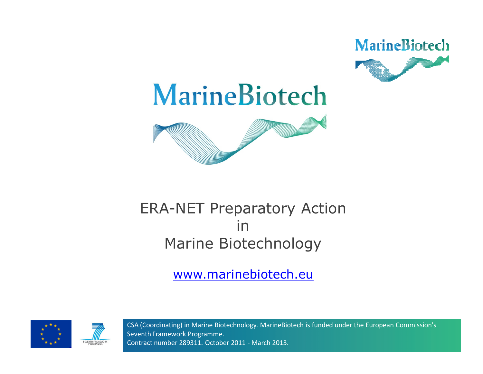



#### ERA-NET Preparatory Action in Marine Biotechnology

www.marinebiotech.eu





CSA (Coordinating) in Marine Biotechnology. MarineBiotech is funded under the European Commission's Seventh Framework Programme. Contract number 289311. October 2011 - March 2013.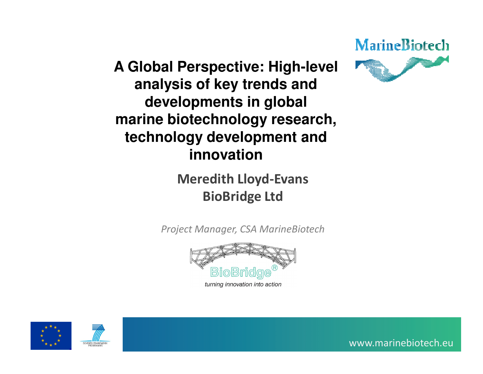#### **A Global Perspective: High-level analysis of key trends and developments in global marine biotechnology research, technology development and innovation**

#### **Meredith Lloyd-EvansBioBridge Ltd**

*Project Manager, CSA MarineBiotech*



turning innovation into action





www.marinebiotech.eu

MarineBiotech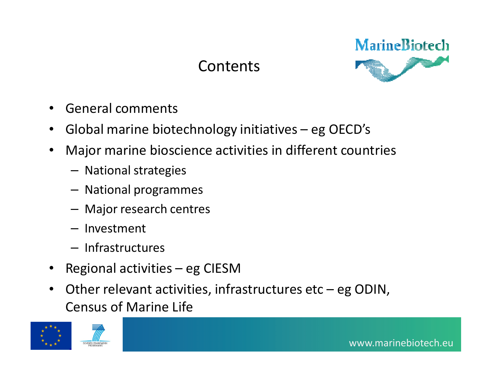#### **Contents**



- •General comments
- •Global marine biotechnology initiatives – eg OECD's
- • Major marine bioscience activities in different countries
	- National strategies
	- –National programmes
	- Major research centres
	- Investment
	- $-$  Infrastructures
- •Regional activities – eg CIESM
- Other relevant activities, infrastructures etc eg ODIN, •Census of Marine Life

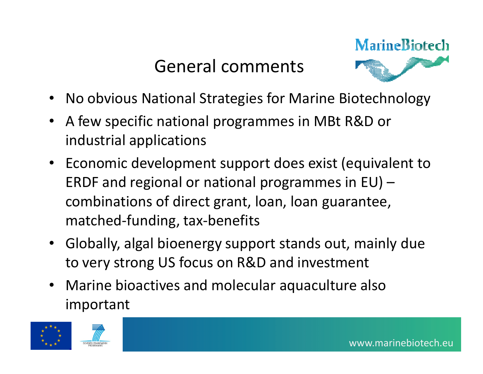## General comments



- •No obvious National Strategies for Marine Biotechnology
- A few specific national programmes in MBt R&D or industrial applications
- Economic development support does exist (equivalent to ERDF and regional or national programmes in EU) – combinations of direct grant, loan, loan guarantee,matched-funding, tax-benefits
- Globally, algal bioenergy support stands out, mainly due to very strong US focus on R&D and investment
- • Marine bioactives and molecular aquaculture also important

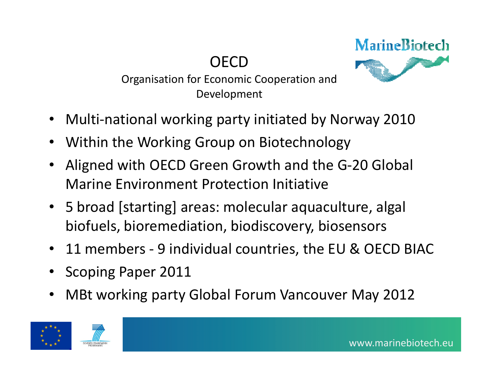**OECD** 



 Organisation for Economic Cooperation and Development

- •Multi-national working party initiated by Norway 2010
- •Within the Working Group on Biotechnology
- • Aligned with OECD Green Growth and the G-20 Global Marine Environment Protection Initiative
- 5 broad [starting] areas: molecular aquaculture, algal biofuels, bioremediation, biodiscovery, biosensors
- $\bullet$ 11 members - 9 individual countries, the EU & OECD BIAC
- •Scoping Paper 2011
- •MBt working party Global Forum Vancouver May 2012



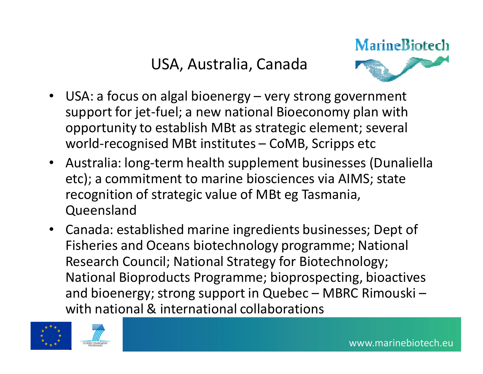USA, Australia, Canada



- USA: a focus on algal bioenergy very strong government support for jet-fuel; a new national Bioeconomy plan with opportunity to establish MBt as strategic element; several world-recognised MBt institutes – CoMB, Scripps etc
- Australia: long-term health supplement businesses (Dunaliella etc); a commitment to marine biosciences via AIMS; state recognition of strategic value of MBt eg Tasmania, Queensland
- Canada: established marine ingredients businesses; Dept of Fisheries and Oceans biotechnology programme; National Research Council; National Strategy for Biotechnology; National Bioproducts Programme; bioprospecting, bioactives and bioenergy; strong support in Quebec – MBRC Rimouski – with national & international collaborations



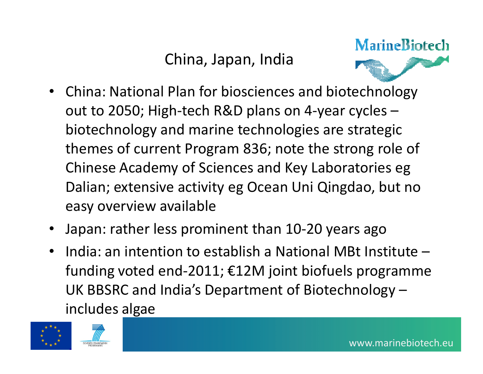### China, Japan, India



- • China: National Plan for biosciences and biotechnology out to 2050; High-tech R&D plans on 4-year cycles – biotechnology and marine technologies are strategicthemes of current Program 836; note the strong role of Chinese Academy of Sciences and Key Laboratories eg Dalian; extensive activity eg Ocean Uni Qingdao, but no easy overview available
- •Japan: rather less prominent than 10-20 years ago
- • India: an intention to establish a National MBt Institute – funding voted end-2011; €12M joint biofuels programme UK BBSRC and India's Department of Biotechnology –includes algae

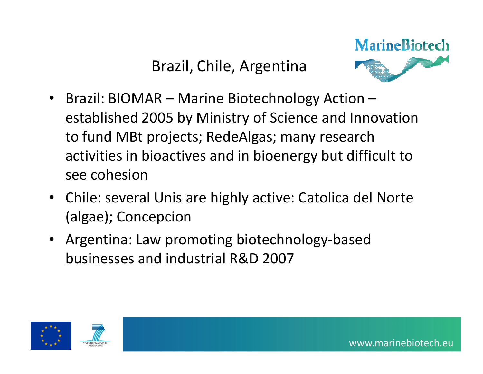#### Brazil, Chile, Argentina



- • Brazil: BIOMAR – Marine Biotechnology Action – established 2005 by Ministry of Science and Innovation to fund MBt projects; RedeAlgas; many research activities in bioactives and in bioenergy but difficult to see cohesion
- Chile: several Unis are highly active: Catolica del Norte (algae); Concepcion
- Argentina: Law promoting biotechnology-based businesses and industrial R&D 2007



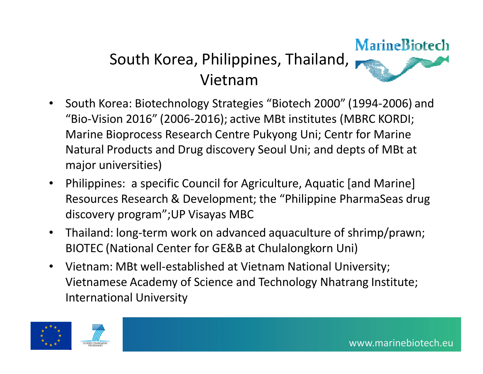# South Korea, Philippines, Thailand, Vietnam



- South Korea: Biotechnology Strategies "Biotech 2000" (1994-2006) and  $\bullet$ "Bio-Vision 2016" (2006-2016); active MBt institutes (MBRC KORDI; Marine Bioprocess Research Centre Pukyong Uni; Centr for Marine Natural Products and Drug discovery Seoul Uni; and depts of MBt at major universities)
- $\bullet$  Philippines: a specific Council for Agriculture, Aquatic [and Marine] Resources Research & Development; the "Philippine PharmaSeas drug discovery program";UP Visayas MBC
- $\bullet$  Thailand: long-term work on advanced aquaculture of shrimp/prawn; BIOTEC (National Center for GE&B at Chulalongkorn Uni)
- • Vietnam: MBt well-established at Vietnam National University; Vietnamese Academy of Science and Technology Nhatrang Institute; International University



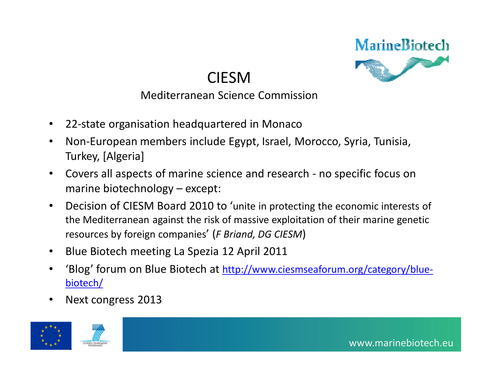

#### CIESM

#### Mediterranean Science Commission

- $\bullet$ 22-state organisation headquartered in Monaco
- • Non-European members include Egypt, Israel, Morocco, Syria, Tunisia, Turkey, [Algeria]
- • Covers all aspects of marine science and research - no specific focus on marine biotechnology – except:
- • Decision of CIESM Board 2010 to 'unite in protecting the economic interests of the Mediterranean against the risk of massive exploitation of their marine genetic resources by foreign companies' (*F Briand, DG CIESM*)
- •Blue Biotech meeting La Spezia 12 April 2011
- •'Blog' forum on Blue Biotech at http://www.ciesmseaforum.org/category/bluebiotech/
- •Next congress 2013

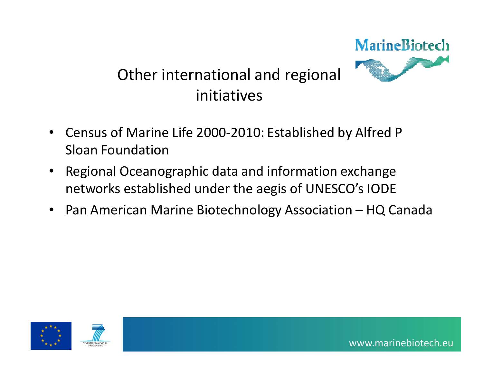# MarineBiotech Other international and regional initiatives

- • Census of Marine Life 2000-2010: Established by Alfred P Sloan Foundation
- • Regional Oceanographic data and information exchange networks established under the aegis of UNESCO's IODE
- •Pan American Marine Biotechnology Association – HQ Canada